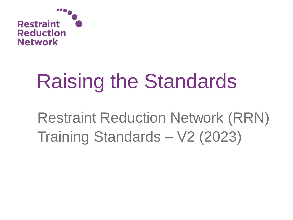

# Raising the Standards

Restraint Reduction Network (RRN) Training Standards – V2 (2023)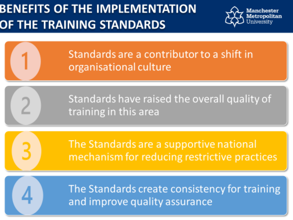#### **BENEFITS OF THE IMPLEMENTATION** OF THE TRAINING STANDARDS



Standards are a contributor to a shift in organisational culture Raising the Standards

Standards have raised the overall quality of Restraint Restraint Restraint Restraint Restraint Restraint Restraint Restraint Restraint Restraint Restraint<br>Restraint Restraint Restraint Restraint Restraint Restraint Restraint Restraint Restraint Restraint Restraint<br>Re

> The Standards are a supportive national mechanism for reducing restrictive practices

The Standards create consistency for training and improve quality assurance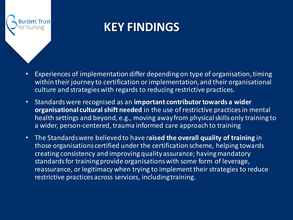

#### **KEY FINDINGS**

- Experiences of implementation differ depending on type of organisation, timing within their journey to certification or implementation, and their organisational culture and strategies with regards to reducing restrictive practices.
- Standards were recognised as an **important contributor towards a wider organisational cultural shift needed** in the use of restrictive practices in mental health settings and beyond, e.g., moving away from physical skills only training to a wider, person-centered, trauma informed care approach to training
- The Standards were believed to have r**aised the overall quality of training** in those organisations certified under the certification scheme, helping towards creating consistency and improving quality assurance; having mandatory standards for training provide organisations with some form of leverage, reassurance, or legitimacy when trying to implement their strategies to reduce restrictive practices across services, including training.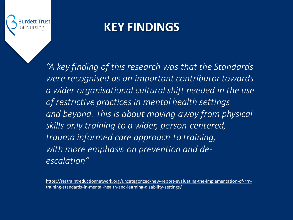

#### **KEY FINDINGS**

*"A key finding of this research was that the Standards were recognised as an important contributor towards a wider organisational cultural shift needed in the use of restrictive practices in mental health settings and beyond. This is about moving away from physical skills only training to a wider, person-centered, trauma informed care approach to training, with more emphasis on prevention and deescalation"*

[https://restraintreductionnetwork.org/uncategorized/new-report-evaluating-the-implementation-of-rrn](https://restraintreductionnetwork.org/uncategorized/new-report-evaluating-the-implementation-of-rrn-training-standards-in-mental-health-and-learning-disability-settings/)training-standards-in-mental-health-and-learning-disability-settings/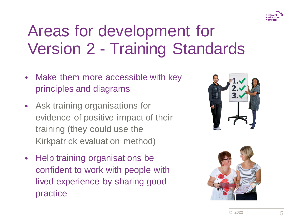

# Areas for development for Version 2 - Training Standards

- Make them more accessible with key principles and diagrams
- Ask training organisations for evidence of positive impact of their training (they could use the Kirkpatrick evaluation method)
- Help training organisations be confident to work with people with lived experience by sharing good practice



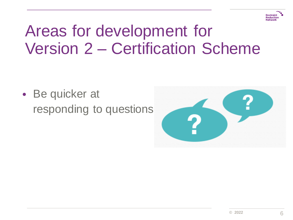

## Areas for development for Version 2 – Certification Scheme

• Be quicker at responding to questions

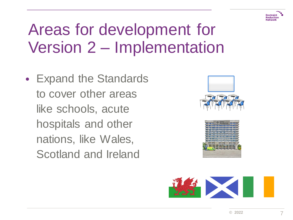

# Areas for development for Version 2 – Implementation

• Expand the Standards to cover other areas like schools, acute hospitals and other nations, like Wales, Scotland and Ireland





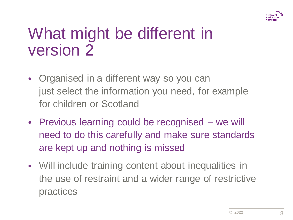

- Organised in a different way so you can just select the information you need, for example for children or Scotland
- Previous learning could be recognised we will need to do this carefully and make sure standards are kept up and nothing is missed
- Will include training content about inequalities in the use of restraint and a wider range of restrictive practices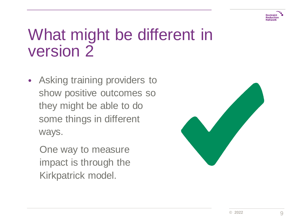

- Asking training providers to show positive outcomes so they might be able to do some things in different ways.
	- One way to measure impact is through the Kirkpatrick model.

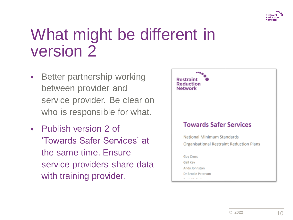

- Better partnership working between provider and service provider. Be clear on who is responsible for what.
- Publish version 2 of 'Towards Safer Services' at the same time. Ensure service providers share data with training provider.

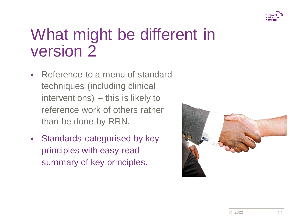

- Reference to a menu of standard techniques (including clinical interventions) – this is likely to reference work of others rather than be done by RRN.
- Standards categorised by key principles with easy read summary of key principles.

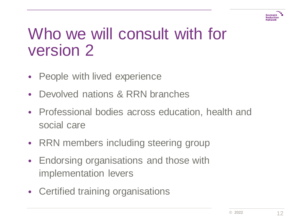

## Who we will consult with for version 2

- People with lived experience
- Devolved nations & RRN branches
- Professional bodies across education, health and social care
- RRN members including steering group
- Endorsing organisations and those with implementation levers
- Certified training organisations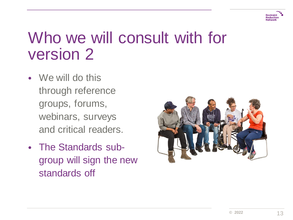

# Who we will consult with for version 2

- We will do this through reference groups, forums, webinars, surveys and critical readers.
- The Standards subgroup will sign the new standards off

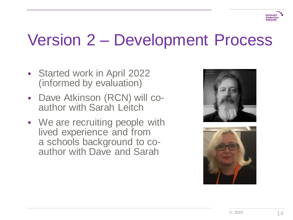

**Restraint Reduction** 

#### Version 2 – Development Process

- Started work in April 2022 (informed by evaluation)
- Dave Atkinson (RCN) will coauthor with Sarah Leitch
- We are recruiting people with lived experience and from a schools background to coauthor with Dave and Sarah



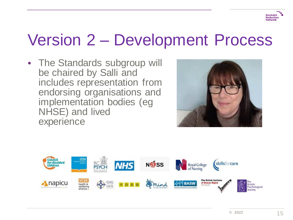

#### Version 2 – Development Process

• The Standards subgroup will be chaired by Salli and includes representation from endorsing organisations and implementation bodies (eg NHSE) and lived experience